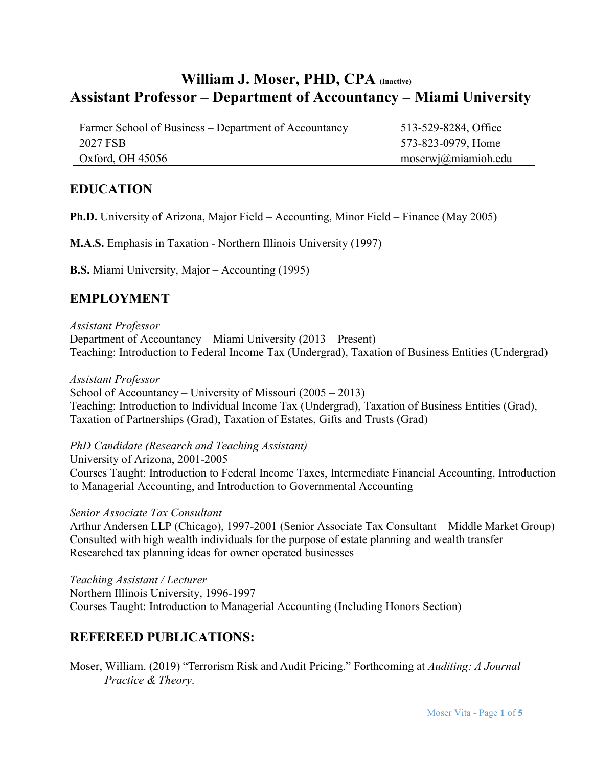# **William J. Moser, PHD, CPA (Inactive) Assistant Professor – Department of Accountancy – Miami University**

Farmer School of Business – Department of Accountancy 513-529-8284, Office 2027 FSB 573-823-0979, Home Oxford, OH 45056 moserwj@miamioh.edu

#### **EDUCATION**

**Ph.D.** University of Arizona, Major Field – Accounting, Minor Field – Finance (May 2005)

**M.A.S.** Emphasis in Taxation - Northern Illinois University (1997)

**B.S.** Miami University, Major – Accounting (1995)

#### **EMPLOYMENT**

*Assistant Professor*

Department of Accountancy – Miami University (2013 – Present) Teaching: Introduction to Federal Income Tax (Undergrad), Taxation of Business Entities (Undergrad)

*Assistant Professor*

School of Accountancy – University of Missouri (2005 – 2013) Teaching: Introduction to Individual Income Tax (Undergrad), Taxation of Business Entities (Grad), Taxation of Partnerships (Grad), Taxation of Estates, Gifts and Trusts (Grad)

*PhD Candidate (Research and Teaching Assistant)*

University of Arizona, 2001-2005 Courses Taught: Introduction to Federal Income Taxes, Intermediate Financial Accounting, Introduction to Managerial Accounting, and Introduction to Governmental Accounting

*Senior Associate Tax Consultant*

Arthur Andersen LLP (Chicago), 1997-2001 (Senior Associate Tax Consultant – Middle Market Group) Consulted with high wealth individuals for the purpose of estate planning and wealth transfer Researched tax planning ideas for owner operated businesses

*Teaching Assistant / Lecturer* Northern Illinois University, 1996-1997 Courses Taught: Introduction to Managerial Accounting (Including Honors Section)

### **REFEREED PUBLICATIONS:**

Moser, William. (2019) "Terrorism Risk and Audit Pricing." Forthcoming at *Auditing: A Journal Practice & Theory*.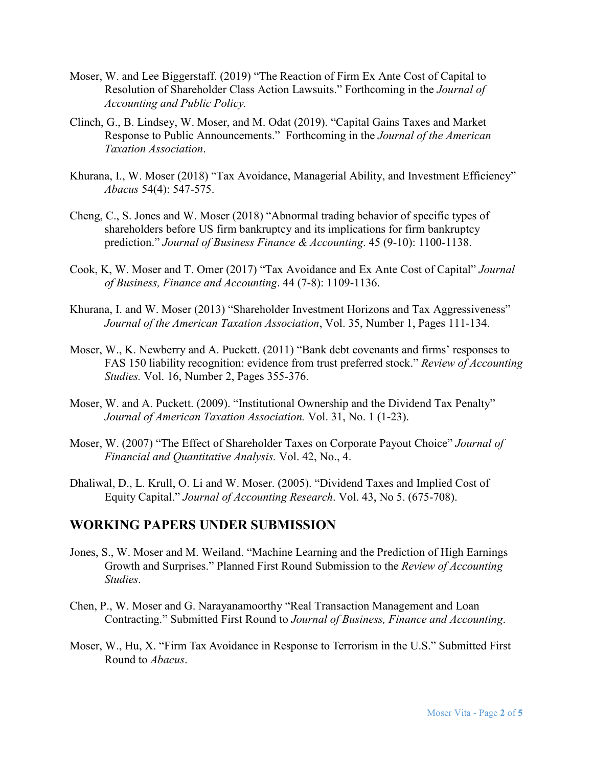- Moser, W. and Lee Biggerstaff. (2019) "The Reaction of Firm Ex Ante Cost of Capital to Resolution of Shareholder Class Action Lawsuits." Forthcoming in the *Journal of Accounting and Public Policy.*
- Clinch, G., B. Lindsey, W. Moser, and M. Odat (2019). "Capital Gains Taxes and Market Response to Public Announcements." Forthcoming in the *Journal of the American Taxation Association*.
- Khurana, I., W. Moser (2018) "Tax Avoidance, Managerial Ability, and Investment Efficiency" *Abacus* 54(4): 547-575.
- Cheng, C., S. Jones and W. Moser (2018) ["Abnormal trading behavior of specific types of](https://onlinelibrary.wiley.com/doi/10.1111/jbfa.12338)  [shareholders before US firm bankruptcy and its implications for firm bankruptcy](https://onlinelibrary.wiley.com/doi/10.1111/jbfa.12338)  [prediction.](https://onlinelibrary.wiley.com/doi/10.1111/jbfa.12338)" *Journal of Business Finance & Accounting*. 45 (9-10): 1100-1138.
- Cook, K, W. Moser and T. Omer (2017) "Tax Avoidance and Ex Ante Cost of Capital" *Journal of Business, Finance and Accounting*. 44 (7-8): 1109-1136.
- Khurana, I. and W. Moser (2013) "Shareholder Investment Horizons and Tax Aggressiveness" *Journal of the American Taxation Association*, Vol. 35, Number 1, Pages 111-134.
- Moser, W., K. Newberry and A. Puckett. (2011) ["Bank debt covenants and firms' responses to](http://www.springerlink.com.proxy.mul.missouri.edu/content/0898w7uq14854136/)  [FAS 150 liability recognition: evidence from trust preferred stock.](http://www.springerlink.com.proxy.mul.missouri.edu/content/0898w7uq14854136/)" *Review of Accounting Studies.* Vol. 16, Number 2, Pages 355-376.
- Moser, W. and A. Puckett. (2009). "Institutional Ownership and the Dividend Tax Penalty" *Journal of American Taxation Association.* Vol. 31, No. 1 (1-23).
- Moser, W. (2007) "The Effect of Shareholder Taxes on Corporate Payout Choice" *Journal of Financial and Quantitative Analysis.* Vol. 42, No., 4.
- Dhaliwal, D., L. Krull, O. Li and W. Moser. (2005). "Dividend Taxes and Implied Cost of Equity Capital." *Journal of Accounting Research*. Vol. 43, No 5. (675-708).

### **WORKING PAPERS UNDER SUBMISSION**

- Jones, S., W. Moser and M. Weiland. "Machine Learning and the Prediction of High Earnings Growth and Surprises." Planned First Round Submission to the *Review of Accounting Studies*.
- Chen, P., W. Moser and G. Narayanamoorthy "Real Transaction Management and Loan Contracting." Submitted First Round to *Journal of Business, Finance and Accounting*.
- Moser, W., Hu, X. "Firm Tax Avoidance in Response to Terrorism in the U.S." Submitted First Round to *Abacus*.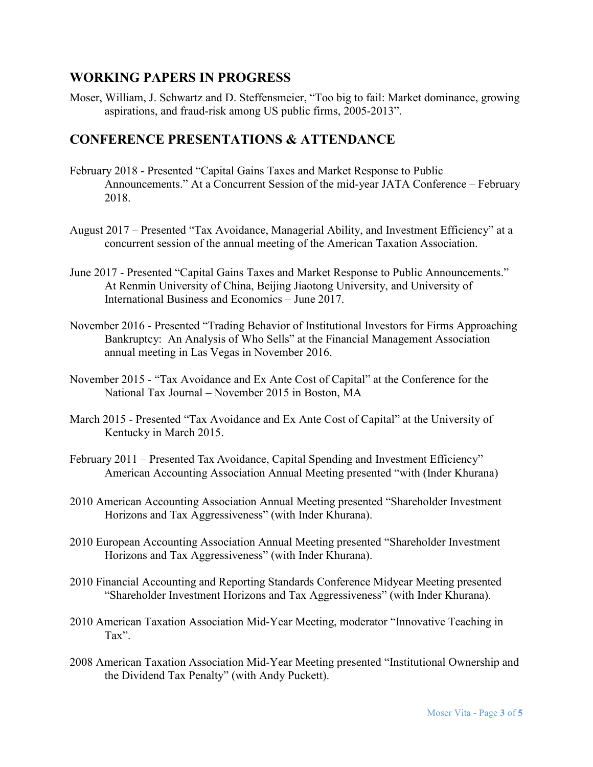### **WORKING PAPERS IN PROGRESS**

Moser, William, J. Schwartz and D. Steffensmeier, "Too big to fail: Market dominance, growing aspirations, and fraud-risk among US public firms, 2005-2013".

### **CONFERENCE PRESENTATIONS & ATTENDANCE**

- February 2018 Presented "Capital Gains Taxes and Market Response to Public Announcements." At a Concurrent Session of the mid-year JATA Conference – February 2018.
- August 2017 Presented "Tax Avoidance, Managerial Ability, and Investment Efficiency" at a concurrent session of the annual meeting of the American Taxation Association.
- June 2017 Presented "Capital Gains Taxes and Market Response to Public Announcements." At Renmin University of China, [Beijing Jiaotong University,](https://en.wikipedia.org/wiki/Beijing_Jiaotong_University) and [University of](https://www.google.com/url?sa=t&rct=j&q=&esrc=s&source=web&cd=1&cad=rja&uact=8&ved=0ahUKEwi5p7CFz7zYAhUC6IMKHfhPDYkQFggnMAA&url=http%3A%2F%2Fwww.uibe.cn%2Fapp%2Feng%2F&usg=AOvVaw2VKWRK8hHc7Mg5EcUa6iqC)  [International Business and Economics](https://www.google.com/url?sa=t&rct=j&q=&esrc=s&source=web&cd=1&cad=rja&uact=8&ved=0ahUKEwi5p7CFz7zYAhUC6IMKHfhPDYkQFggnMAA&url=http%3A%2F%2Fwww.uibe.cn%2Fapp%2Feng%2F&usg=AOvVaw2VKWRK8hHc7Mg5EcUa6iqC) – June 2017.
- November 2016 Presented "Trading Behavior of Institutional Investors for Firms Approaching Bankruptcy: An Analysis of Who Sells" at the Financial Management Association annual meeting in Las Vegas in November 2016.
- November 2015 "Tax Avoidance and Ex Ante Cost of Capital" at the Conference for the National Tax Journal – November 2015 in Boston, MA
- March 2015 Presented "Tax Avoidance and Ex Ante Cost of Capital" at the University of Kentucky in March 2015.
- February 2011 Presented Tax Avoidance, Capital Spending and Investment Efficiency" American Accounting Association Annual Meeting presented "with (Inder Khurana)
- 2010 American Accounting Association Annual Meeting presented "Shareholder Investment Horizons and Tax Aggressiveness" (with Inder Khurana).
- 2010 European Accounting Association Annual Meeting presented "Shareholder Investment Horizons and Tax Aggressiveness" (with Inder Khurana).
- 2010 Financial Accounting and Reporting Standards Conference Midyear Meeting presented "Shareholder Investment Horizons and Tax Aggressiveness" (with Inder Khurana).
- 2010 American Taxation Association Mid-Year Meeting, moderator "Innovative Teaching in Tax".
- 2008 American Taxation Association Mid-Year Meeting presented "Institutional Ownership and the Dividend Tax Penalty" (with Andy Puckett).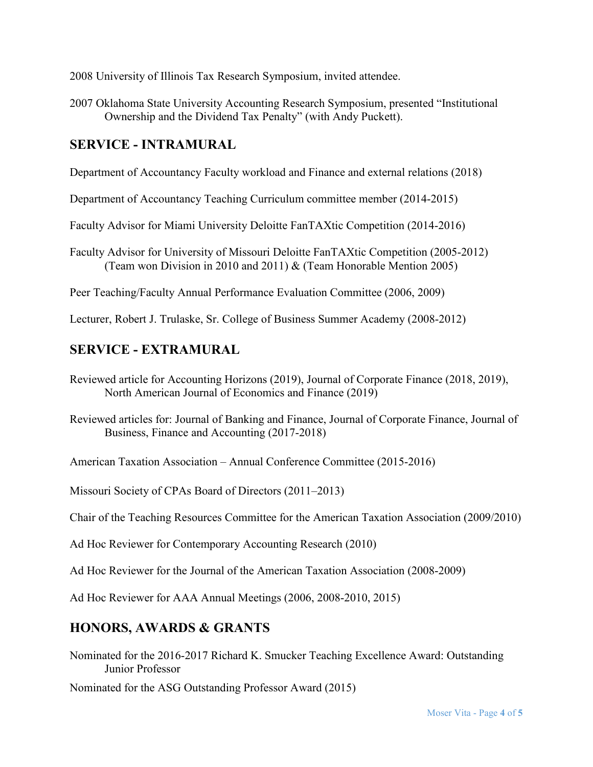2008 University of Illinois Tax Research Symposium, invited attendee.

2007 Oklahoma State University Accounting Research Symposium, presented "Institutional Ownership and the Dividend Tax Penalty" (with Andy Puckett).

### **SERVICE - INTRAMURAL**

Department of Accountancy Faculty workload and Finance and external relations (2018)

Department of Accountancy Teaching Curriculum committee member (2014-2015)

Faculty Advisor for Miami University Deloitte FanTAXtic Competition (2014-2016)

Faculty Advisor for University of Missouri Deloitte FanTAXtic Competition (2005-2012) (Team won Division in 2010 and 2011) & (Team Honorable Mention 2005)

Peer Teaching/Faculty Annual Performance Evaluation Committee (2006, 2009)

Lecturer, Robert J. Trulaske, Sr. College of Business Summer Academy (2008-2012)

# **SERVICE - EXTRAMURAL**

Reviewed article for Accounting Horizons (2019), Journal of Corporate Finance (2018, 2019), North American Journal of Economics and Finance (2019)

Reviewed articles for: Journal of Banking and Finance, Journal of Corporate Finance, Journal of Business, Finance and Accounting (2017-2018)

American Taxation Association – Annual Conference Committee (2015-2016)

Missouri Society of CPAs Board of Directors (2011–2013)

Chair of the Teaching Resources Committee for the American Taxation Association (2009/2010)

Ad Hoc Reviewer for Contemporary Accounting Research (2010)

Ad Hoc Reviewer for the Journal of the American Taxation Association (2008-2009)

Ad Hoc Reviewer for AAA Annual Meetings (2006, 2008-2010, 2015)

## **HONORS, AWARDS & GRANTS**

Nominated for the 2016-2017 Richard K. Smucker Teaching Excellence Award: Outstanding Junior Professor

Nominated for the ASG Outstanding Professor Award (2015)